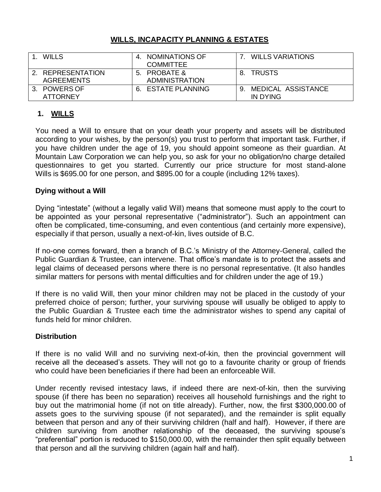### **WILLS, INCAPACITY PLANNING & ESTATES**

| WILLS                                  | NOMINATIONS OF<br><b>COMMITTEE</b>    |    | <b>WILLS VARIATIONS</b>           |
|----------------------------------------|---------------------------------------|----|-----------------------------------|
| 2. REPRESENTATION<br><b>AGREEMENTS</b> | 5. PROBATE &<br><b>ADMINISTRATION</b> | 8. | <b>TRUSTS</b>                     |
| 3. POWERS OF<br>ATTORNEY               | 6. ESTATE PLANNING                    |    | 9. MEDICAL ASSISTANCE<br>IN DYING |

# **1. WILLS**

You need a Will to ensure that on your death your property and assets will be distributed according to your wishes, by the person(s) you trust to perform that important task. Further, if you have children under the age of 19, you should appoint someone as their guardian. At Mountain Law Corporation we can help you, so ask for your no obligation/no charge detailed questionnaires to get you started. Currently our price structure for most stand-alone Wills is \$695.00 for one person, and \$895.00 for a couple (including 12% taxes).

### **Dying without a Will**

Dying "intestate" (without a legally valid Will) means that someone must apply to the court to be appointed as your personal representative ("administrator"). Such an appointment can often be complicated, time-consuming, and even contentious (and certainly more expensive), especially if that person, usually a next-of-kin, lives outside of B.C.

If no-one comes forward, then a branch of B.C.'s Ministry of the Attorney-General, called the Public Guardian & Trustee, can intervene. That office's mandate is to protect the assets and legal claims of deceased persons where there is no personal representative. (It also handles similar matters for persons with mental difficulties and for children under the age of 19.)

If there is no valid Will, then your minor children may not be placed in the custody of your preferred choice of person; further, your surviving spouse will usually be obliged to apply to the Public Guardian & Trustee each time the administrator wishes to spend any capital of funds held for minor children.

### **Distribution**

If there is no valid Will and no surviving next-of-kin, then the provincial government will receive all the deceased's assets. They will not go to a favourite charity or group of friends who could have been beneficiaries if there had been an enforceable Will.

Under recently revised intestacy laws, if indeed there are next-of-kin, then the surviving spouse (if there has been no separation) receives all household furnishings and the right to buy out the matrimonial home (if not on title already). Further, now, the first \$300,000.00 of assets goes to the surviving spouse (if not separated), and the remainder is split equally between that person and any of their surviving children (half and half). However, if there are children surviving from another relationship of the deceased, the surviving spouse's "preferential" portion is reduced to \$150,000.00, with the remainder then split equally between that person and all the surviving children (again half and half).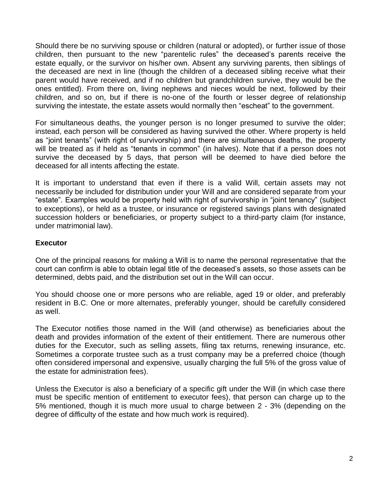Should there be no surviving spouse or children (natural or adopted), or further issue of those children, then pursuant to the new "parentelic rules" the deceased's parents receive the estate equally, or the survivor on his/her own. Absent any surviving parents, then siblings of the deceased are next in line (though the children of a deceased sibling receive what their parent would have received, and if no children but grandchildren survive, they would be the ones entitled). From there on, living nephews and nieces would be next, followed by their children, and so on, but if there is no-one of the fourth or lesser degree of relationship surviving the intestate, the estate assets would normally then "escheat" to the government.

For simultaneous deaths, the younger person is no longer presumed to survive the older; instead, each person will be considered as having survived the other. Where property is held as "joint tenants" (with right of survivorship) and there are simultaneous deaths, the property will be treated as if held as "tenants in common" (in halves). Note that if a person does not survive the deceased by 5 days, that person will be deemed to have died before the deceased for all intents affecting the estate.

It is important to understand that even if there is a valid Will, certain assets may not necessarily be included for distribution under your Will and are considered separate from your "estate". Examples would be property held with right of survivorship in "joint tenancy" (subject to exceptions), or held as a trustee, or insurance or registered savings plans with designated succession holders or beneficiaries, or property subject to a third-party claim (for instance, under matrimonial law).

#### **Executor**

One of the principal reasons for making a Will is to name the personal representative that the court can confirm is able to obtain legal title of the deceased's assets, so those assets can be determined, debts paid, and the distribution set out in the Will can occur.

You should choose one or more persons who are reliable, aged 19 or older, and preferably resident in B.C. One or more alternates, preferably younger, should be carefully considered as well.

The Executor notifies those named in the Will (and otherwise) as beneficiaries about the death and provides information of the extent of their entitlement. There are numerous other duties for the Executor, such as selling assets, filing tax returns, renewing insurance, etc. Sometimes a corporate trustee such as a trust company may be a preferred choice (though often considered impersonal and expensive, usually charging the full 5% of the gross value of the estate for administration fees).

Unless the Executor is also a beneficiary of a specific gift under the Will (in which case there must be specific mention of entitlement to executor fees), that person can charge up to the 5% mentioned, though it is much more usual to charge between 2 - 3% (depending on the degree of difficulty of the estate and how much work is required).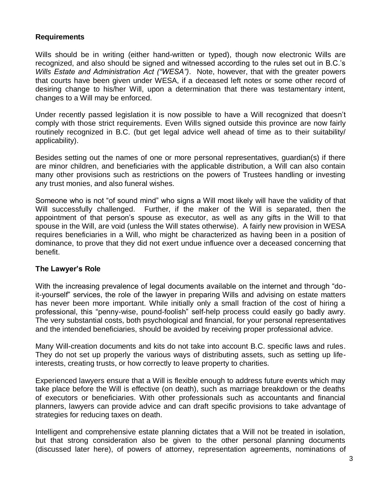#### **Requirements**

Wills should be in writing (either hand-written or typed), though now electronic Wills are recognized, and also should be signed and witnessed according to the rules set out in B.C.'s *Wills Estate and Administration Act ("WESA")*. Note, however, that with the greater powers that courts have been given under WESA, if a deceased left notes or some other record of desiring change to his/her Will, upon a determination that there was testamentary intent, changes to a Will may be enforced.

Under recently passed legislation it is now possible to have a Will recognized that doesn't comply with those strict requirements. Even Wills signed outside this province are now fairly routinely recognized in B.C. (but get legal advice well ahead of time as to their suitability/ applicability).

Besides setting out the names of one or more personal representatives, guardian(s) if there are minor children, and beneficiaries with the applicable distribution, a Will can also contain many other provisions such as restrictions on the powers of Trustees handling or investing any trust monies, and also funeral wishes.

Someone who is not "of sound mind" who signs a Will most likely will have the validity of that Will successfully challenged. Further, if the maker of the Will is separated, then the appointment of that person's spouse as executor, as well as any gifts in the Will to that spouse in the Will, are void (unless the Will states otherwise). A fairly new provision in WESA requires beneficiaries in a Will, who might be characterized as having been in a position of dominance, to prove that they did not exert undue influence over a deceased concerning that benefit.

### **The Lawyer's Role**

With the increasing prevalence of legal documents available on the internet and through "doit-yourself" services, the role of the lawyer in preparing Wills and advising on estate matters has never been more important. While initially only a small fraction of the cost of hiring a professional, this "penny-wise, pound-foolish" self-help process could easily go badly awry. The very substantial costs, both psychological and financial, for your personal representatives and the intended beneficiaries, should be avoided by receiving proper professional advice.

Many Will-creation documents and kits do not take into account B.C. specific laws and rules. They do not set up properly the various ways of distributing assets, such as setting up lifeinterests, creating trusts, or how correctly to leave property to charities.

Experienced lawyers ensure that a Will is flexible enough to address future events which may take place before the Will is effective (on death), such as marriage breakdown or the deaths of executors or beneficiaries. With other professionals such as accountants and financial planners, lawyers can provide advice and can draft specific provisions to take advantage of strategies for reducing taxes on death.

Intelligent and comprehensive estate planning dictates that a Will not be treated in isolation, but that strong consideration also be given to the other personal planning documents (discussed later here), of powers of attorney, representation agreements, nominations of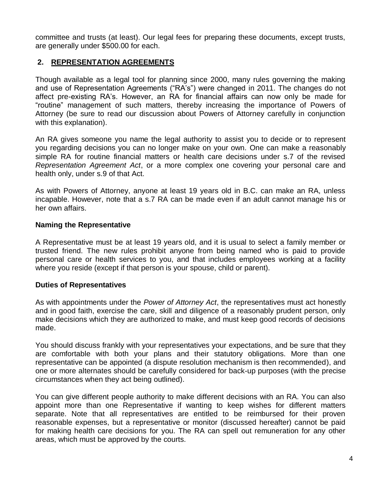committee and trusts (at least). Our legal fees for preparing these documents, except trusts, are generally under \$500.00 for each.

#### **2. REPRESENTATION AGREEMENTS**

Though available as a legal tool for planning since 2000, many rules governing the making and use of Representation Agreements ("RA's") were changed in 2011. The changes do not affect pre-existing RA's. However, an RA for financial affairs can now only be made for "routine" management of such matters, thereby increasing the importance of Powers of Attorney (be sure to read our discussion about Powers of Attorney carefully in conjunction with this explanation).

An RA gives someone you name the legal authority to assist you to decide or to represent you regarding decisions you can no longer make on your own. One can make a reasonably simple RA for routine financial matters or health care decisions under s.7 of the revised *Representation Agreement Act*, or a more complex one covering your personal care and health only, under s.9 of that Act.

As with Powers of Attorney, anyone at least 19 years old in B.C. can make an RA, unless incapable. However, note that a s.7 RA can be made even if an adult cannot manage his or her own affairs.

#### **Naming the Representative**

A Representative must be at least 19 years old, and it is usual to select a family member or trusted friend. The new rules prohibit anyone from being named who is paid to provide personal care or health services to you, and that includes employees working at a facility where you reside (except if that person is your spouse, child or parent).

#### **Duties of Representatives**

As with appointments under the *Power of Attorney Act*, the representatives must act honestly and in good faith, exercise the care, skill and diligence of a reasonably prudent person, only make decisions which they are authorized to make, and must keep good records of decisions made.

You should discuss frankly with your representatives your expectations, and be sure that they are comfortable with both your plans and their statutory obligations. More than one representative can be appointed (a dispute resolution mechanism is then recommended), and one or more alternates should be carefully considered for back-up purposes (with the precise circumstances when they act being outlined).

You can give different people authority to make different decisions with an RA. You can also appoint more than one Representative if wanting to keep wishes for different matters separate. Note that all representatives are entitled to be reimbursed for their proven reasonable expenses, but a representative or monitor (discussed hereafter) cannot be paid for making health care decisions for you. The RA can spell out remuneration for any other areas, which must be approved by the courts.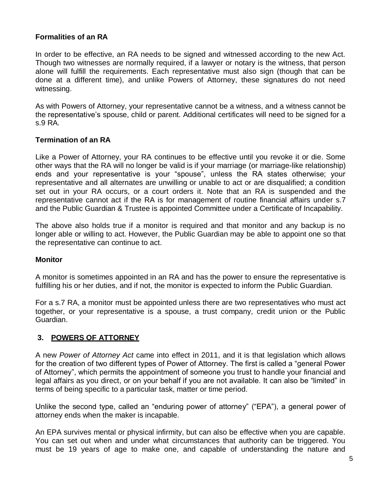### **Formalities of an RA**

In order to be effective, an RA needs to be signed and witnessed according to the new Act. Though two witnesses are normally required, if a lawyer or notary is the witness, that person alone will fulfill the requirements. Each representative must also sign (though that can be done at a different time), and unlike Powers of Attorney, these signatures do not need witnessing.

As with Powers of Attorney, your representative cannot be a witness, and a witness cannot be the representative's spouse, child or parent. Additional certificates will need to be signed for a s.9 RA.

## **Termination of an RA**

Like a Power of Attorney, your RA continues to be effective until you revoke it or die. Some other ways that the RA will no longer be valid is if your marriage (or marriage-like relationship) ends and your representative is your "spouse", unless the RA states otherwise; your representative and all alternates are unwilling or unable to act or are disqualified; a condition set out in your RA occurs, or a court orders it. Note that an RA is suspended and the representative cannot act if the RA is for management of routine financial affairs under s.7 and the Public Guardian & Trustee is appointed Committee under a Certificate of Incapability.

The above also holds true if a monitor is required and that monitor and any backup is no longer able or willing to act. However, the Public Guardian may be able to appoint one so that the representative can continue to act.

### **Monitor**

A monitor is sometimes appointed in an RA and has the power to ensure the representative is fulfilling his or her duties, and if not, the monitor is expected to inform the Public Guardian.

For a s.7 RA, a monitor must be appointed unless there are two representatives who must act together, or your representative is a spouse, a trust company, credit union or the Public Guardian.

### **3. POWERS OF ATTORNEY**

A new *Power of Attorney Act* came into effect in 2011, and it is that legislation which allows for the creation of two different types of Power of Attorney. The first is called a "general Power of Attorney", which permits the appointment of someone you trust to handle your financial and legal affairs as you direct, or on your behalf if you are not available. It can also be "limited" in terms of being specific to a particular task, matter or time period.

Unlike the second type, called an "enduring power of attorney" ("EPA"), a general power of attorney ends when the maker is incapable.

An EPA survives mental or physical infirmity, but can also be effective when you are capable. You can set out when and under what circumstances that authority can be triggered. You must be 19 years of age to make one, and capable of understanding the nature and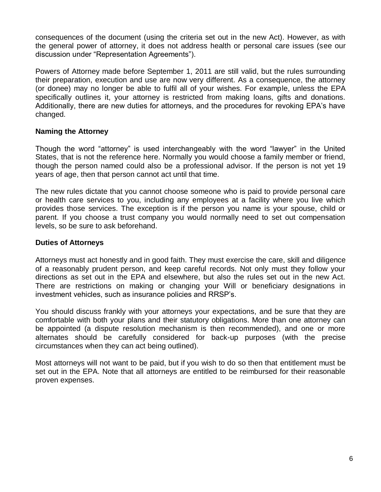consequences of the document (using the criteria set out in the new Act). However, as with the general power of attorney, it does not address health or personal care issues (see our discussion under "Representation Agreements").

Powers of Attorney made before September 1, 2011 are still valid, but the rules surrounding their preparation, execution and use are now very different. As a consequence, the attorney (or donee) may no longer be able to fulfil all of your wishes. For example, unless the EPA specifically outlines it, your attorney is restricted from making loans, gifts and donations. Additionally, there are new duties for attorneys, and the procedures for revoking EPA's have changed.

#### **Naming the Attorney**

Though the word "attorney" is used interchangeably with the word "lawyer" in the United States, that is not the reference here. Normally you would choose a family member or friend, though the person named could also be a professional advisor. If the person is not yet 19 years of age, then that person cannot act until that time.

The new rules dictate that you cannot choose someone who is paid to provide personal care or health care services to you, including any employees at a facility where you live which provides those services. The exception is if the person you name is your spouse, child or parent. If you choose a trust company you would normally need to set out compensation levels, so be sure to ask beforehand.

### **Duties of Attorneys**

Attorneys must act honestly and in good faith. They must exercise the care, skill and diligence of a reasonably prudent person, and keep careful records. Not only must they follow your directions as set out in the EPA and elsewhere, but also the rules set out in the new Act. There are restrictions on making or changing your Will or beneficiary designations in investment vehicles, such as insurance policies and RRSP's.

You should discuss frankly with your attorneys your expectations, and be sure that they are comfortable with both your plans and their statutory obligations. More than one attorney can be appointed (a dispute resolution mechanism is then recommended), and one or more alternates should be carefully considered for back-up purposes (with the precise circumstances when they can act being outlined).

Most attorneys will not want to be paid, but if you wish to do so then that entitlement must be set out in the EPA. Note that all attorneys are entitled to be reimbursed for their reasonable proven expenses.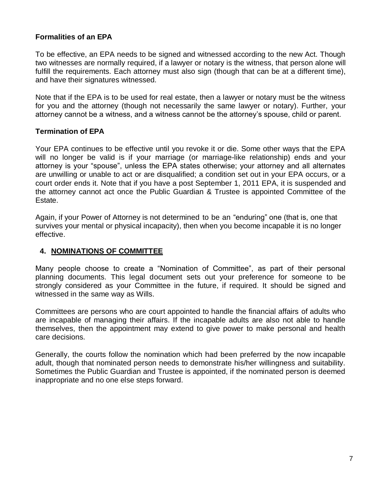### **Formalities of an EPA**

To be effective, an EPA needs to be signed and witnessed according to the new Act. Though two witnesses are normally required, if a lawyer or notary is the witness, that person alone will fulfill the requirements. Each attorney must also sign (though that can be at a different time), and have their signatures witnessed.

Note that if the EPA is to be used for real estate, then a lawyer or notary must be the witness for you and the attorney (though not necessarily the same lawyer or notary). Further, your attorney cannot be a witness, and a witness cannot be the attorney's spouse, child or parent.

#### **Termination of EPA**

Your EPA continues to be effective until you revoke it or die. Some other ways that the EPA will no longer be valid is if your marriage (or marriage-like relationship) ends and your attorney is your "spouse", unless the EPA states otherwise; your attorney and all alternates are unwilling or unable to act or are disqualified; a condition set out in your EPA occurs, or a court order ends it. Note that if you have a post September 1, 2011 EPA, it is suspended and the attorney cannot act once the Public Guardian & Trustee is appointed Committee of the Estate.

Again, if your Power of Attorney is not determined to be an "enduring" one (that is, one that survives your mental or physical incapacity), then when you become incapable it is no longer effective.

### **4. NOMINATIONS OF COMMITTEE**

Many people choose to create a "Nomination of Committee", as part of their personal planning documents. This legal document sets out your preference for someone to be strongly considered as your Committee in the future, if required. It should be signed and witnessed in the same way as Wills.

Committees are persons who are court appointed to handle the financial affairs of adults who are incapable of managing their affairs. If the incapable adults are also not able to handle themselves, then the appointment may extend to give power to make personal and health care decisions.

Generally, the courts follow the nomination which had been preferred by the now incapable adult, though that nominated person needs to demonstrate his/her willingness and suitability. Sometimes the Public Guardian and Trustee is appointed, if the nominated person is deemed inappropriate and no one else steps forward.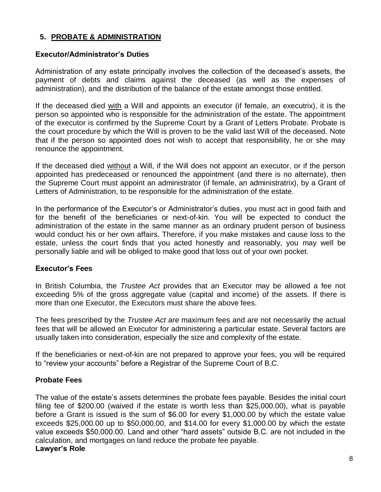## **5. PROBATE & ADMINISTRATION**

# **Executor/Administrator's Duties**

Administration of any estate principally involves the collection of the deceased's assets, the payment of debts and claims against the deceased (as well as the expenses of administration), and the distribution of the balance of the estate amongst those entitled.

If the deceased died with a Will and appoints an executor (if female, an executrix), it is the person so appointed who is responsible for the administration of the estate. The appointment of the executor is confirmed by the Supreme Court by a Grant of Letters Probate. Probate is the court procedure by which the Will is proven to be the valid last Will of the deceased. Note that if the person so appointed does not wish to accept that responsibility, he or she may renounce the appointment.

If the deceased died without a Will, if the Will does not appoint an executor, or if the person appointed has predeceased or renounced the appointment (and there is no alternate), then the Supreme Court must appoint an administrator (if female, an administratrix), by a Grant of Letters of Administration, to be responsible for the administration of the estate.

In the performance of the Executor's or Administrator's duties, you must act in good faith and for the benefit of the beneficiaries or next-of-kin. You will be expected to conduct the administration of the estate in the same manner as an ordinary prudent person of business would conduct his or her own affairs. Therefore, if you make mistakes and cause loss to the estate, unless the court finds that you acted honestly and reasonably, you may well be personally liable and will be obliged to make good that loss out of your own pocket.

# **Executor's Fees**

In British Columbia, the *Trustee Act* provides that an Executor may be allowed a fee not exceeding 5% of the gross aggregate value (capital and income) of the assets. If there is more than one Executor, the Executors must share the above fees.

The fees prescribed by the *Trustee Act* are maximum fees and are not necessarily the actual fees that will be allowed an Executor for administering a particular estate. Several factors are usually taken into consideration, especially the size and complexity of the estate.

If the beneficiaries or next-of-kin are not prepared to approve your fees, you will be required to "review your accounts" before a Registrar of the Supreme Court of B.C.

# **Probate Fees**

The value of the estate's assets determines the probate fees payable. Besides the initial court filing fee of \$200.00 (waived if the estate is worth less than \$25,000.00), what is payable before a Grant is issued is the sum of \$6.00 for every \$1,000.00 by which the estate value exceeds \$25,000.00 up to \$50,000.00, and \$14.00 for every \$1,000.00 by which the estate value exceeds \$50,000.00. Land and other "hard assets" outside B.C. are not included in the calculation, and mortgages on land reduce the probate fee payable. **Lawyer's Role**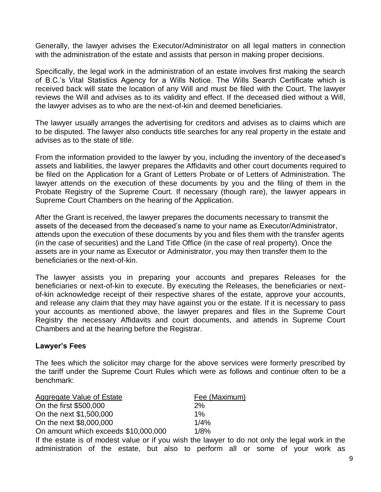Generally, the lawyer advises the Executor/Administrator on all legal matters in connection with the administration of the estate and assists that person in making proper decisions.

Specifically, the legal work in the administration of an estate involves first making the search of B.C.'s Vital Statistics Agency for a Wills Notice. The Wills Search Certificate which is received back will state the location of any Will and must be filed with the Court. The lawyer reviews the Will and advises as to its validity and effect. If the deceased died without a Will, the lawyer advises as to who are the next-of-kin and deemed beneficiaries.

The lawyer usually arranges the advertising for creditors and advises as to claims which are to be disputed. The lawyer also conducts title searches for any real property in the estate and advises as to the state of title.

From the information provided to the lawyer by you, including the inventory of the deceased's assets and liabilities, the lawyer prepares the Affidavits and other court documents required to be filed on the Application for a Grant of Letters Probate or of Letters of Administration. The lawyer attends on the execution of these documents by you and the filing of them in the Probate Registry of the Supreme Court. If necessary (though rare), the lawyer appears in Supreme Court Chambers on the hearing of the Application.

After the Grant is received, the lawyer prepares the documents necessary to transmit the assets of the deceased from the deceased's name to your name as Executor/Administrator, attends upon the execution of these documents by you and files them with the transfer agents (in the case of securities) and the Land Title Office (in the case of real property). Once the assets are in your name as Executor or Administrator, you may then transfer them to the beneficiaries or the next-of-kin.

The lawyer assists you in preparing your accounts and prepares Releases for the beneficiaries or next-of-kin to execute. By executing the Releases, the beneficiaries or nextof-kin acknowledge receipt of their respective shares of the estate, approve your accounts, and release any claim that they may have against you or the estate. If it is necessary to pass your accounts as mentioned above, the lawyer prepares and files in the Supreme Court Registry the necessary Affidavits and court documents, and attends in Supreme Court Chambers and at the hearing before the Registrar.

#### **Lawyer's Fees**

The fees which the solicitor may charge for the above services were formerly prescribed by the tariff under the Supreme Court Rules which were as follows and continue often to be a benchmark:

| Aggregate Value of Estate            | Fee (Maximum) |
|--------------------------------------|---------------|
| On the first \$500,000               | 2%            |
| On the next \$1,500,000              | $1\%$         |
| On the next \$8,000,000              | 1/4%          |
| On amount which exceeds \$10,000,000 | 1/8%          |

If the estate is of modest value or if you wish the lawyer to do not only the legal work in the administration of the estate, but also to perform all or some of your work as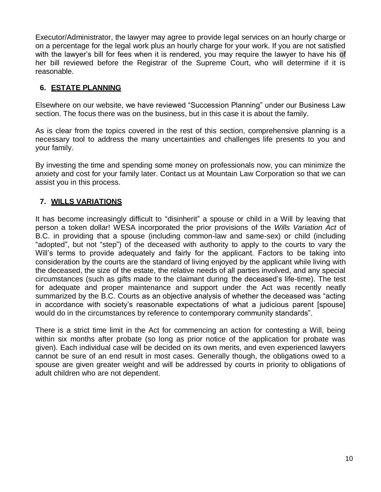Executor/Administrator, the lawyer may agree to provide legal services on an hourly charge or on a percentage for the legal work plus an hourly charge for your work. If you are not satisfied with the lawyer's bill for fees when it is rendered, you may require the lawyer to have his of her bill reviewed before the Registrar of the Supreme Court, who will determine if it is reasonable.

## **6. ESTATE PLANNING**

Elsewhere on our website, we have reviewed "Succession Planning" under our Business Law section. The focus there was on the business, but in this case it is about the family.

As is clear from the topics covered in the rest of this section, comprehensive planning is a necessary tool to address the many uncertainties and challenges life presents to you and your family.

By investing the time and spending some money on professionals now, you can minimize the anxiety and cost for your family later. Contact us at Mountain Law Corporation so that we can assist you in this process.

## **7. WILLS VARIATIONS**

It has become increasingly difficult to "disinherit" a spouse or child in a Will by leaving that person a token dollar! WESA incorporated the prior provisions of the *Wills Variation Act* of B.C. in providing that a spouse (including common-law and same-sex) or child (including "adopted", but not "step") of the deceased with authority to apply to the courts to vary the Will's terms to provide adequately and fairly for the applicant. Factors to be taking into consideration by the courts are the standard of living enjoyed by the applicant while living with the deceased, the size of the estate, the relative needs of all parties involved, and any special circumstances (such as gifts made to the claimant during the deceased's life-time). The test for adequate and proper maintenance and support under the Act was recently neatly summarized by the B.C. Courts as an objective analysis of whether the deceased was "acting in accordance with society's reasonable expectations of what a judicious parent [spouse] would do in the circumstances by reference to contemporary community standards".

There is a strict time limit in the Act for commencing an action for contesting a Will, being within six months after probate (so long as prior notice of the application for probate was given). Each individual case will be decided on its own merits, and even experienced lawyers cannot be sure of an end result in most cases. Generally though, the obligations owed to a spouse are given greater weight and will be addressed by courts in priority to obligations of adult children who are not dependent.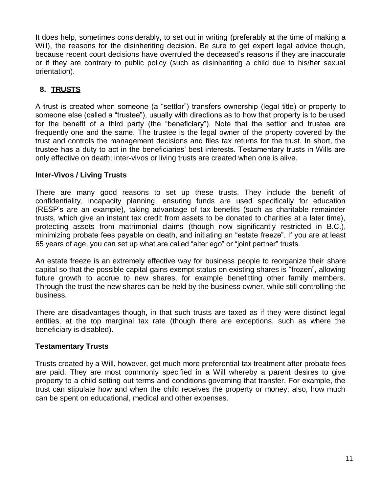It does help, sometimes considerably, to set out in writing (preferably at the time of making a Will), the reasons for the disinheriting decision. Be sure to get expert legal advice though, because recent court decisions have overruled the deceased's reasons if they are inaccurate or if they are contrary to public policy (such as disinheriting a child due to his/her sexual orientation).

# **8. TRUSTS**

A trust is created when someone (a "settlor") transfers ownership (legal title) or property to someone else (called a "trustee"), usually with directions as to how that property is to be used for the benefit of a third party (the "beneficiary"). Note that the settlor and trustee are frequently one and the same. The trustee is the legal owner of the property covered by the trust and controls the management decisions and files tax returns for the trust. In short, the trustee has a duty to act in the beneficiaries' best interests. Testamentary trusts in Wills are only effective on death; inter-vivos or living trusts are created when one is alive.

### **Inter-Vivos / Living Trusts**

There are many good reasons to set up these trusts. They include the benefit of confidentiality, incapacity planning, ensuring funds are used specifically for education (RESP's are an example), taking advantage of tax benefits (such as charitable remainder trusts, which give an instant tax credit from assets to be donated to charities at a later time), protecting assets from matrimonial claims (though now significantly restricted in B.C.), minimizing probate fees payable on death, and initiating an "estate freeze". If you are at least 65 years of age, you can set up what are called "alter ego" or "joint partner" trusts.

An estate freeze is an extremely effective way for business people to reorganize their share capital so that the possible capital gains exempt status on existing shares is "frozen", allowing future growth to accrue to new shares, for example benefitting other family members. Through the trust the new shares can be held by the business owner, while still controlling the business.

There are disadvantages though, in that such trusts are taxed as if they were distinct legal entities, at the top marginal tax rate (though there are exceptions, such as where the beneficiary is disabled).

## **Testamentary Trusts**

Trusts created by a Will, however, get much more preferential tax treatment after probate fees are paid. They are most commonly specified in a Will whereby a parent desires to give property to a child setting out terms and conditions governing that transfer. For example, the trust can stipulate how and when the child receives the property or money; also, how much can be spent on educational, medical and other expenses.